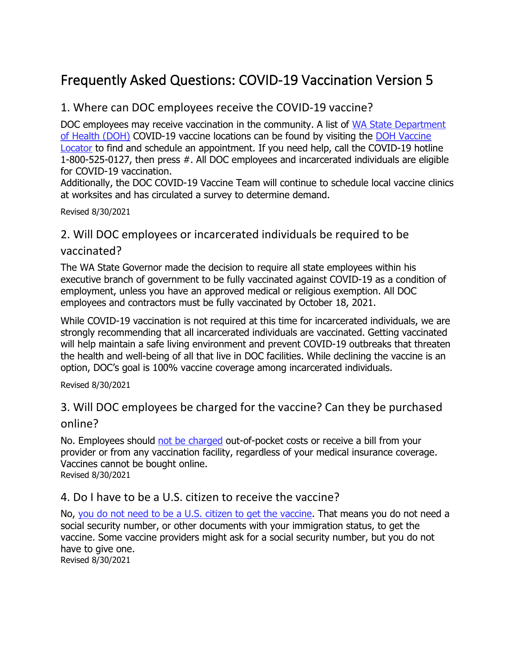# Frequently Asked Questions: COVID-19 Vaccination Version 5

## 1. Where can DOC employees receive the COVID-19 vaccine?

DOC employees may receive vaccination in the community. A list of [WA State Department](https://www.doh.wa.gov/)  [of Health \(DOH\)](https://www.doh.wa.gov/) COVID-19 vaccine locations can be found by visiting the [DOH Vaccine](https://vaccinelocator.doh.wa.gov/)  [Locator](https://vaccinelocator.doh.wa.gov/) to find and schedule an appointment. If you need help, call the COVID-19 hotline 1-800-525-0127, then press #. All DOC employees and incarcerated individuals are eligible for COVID-19 vaccination.

Additionally, the DOC COVID-19 Vaccine Team will continue to schedule local vaccine clinics at worksites and has circulated a survey to determine demand.

Revised 8/30/2021

#### 2. Will DOC employees or incarcerated individuals be required to be

#### vaccinated?

The WA State Governor made the decision to require all state employees within his executive branch of government to be fully vaccinated against COVID-19 as a condition of employment, unless you have an approved medical or religious exemption. All DOC employees and contractors must be fully vaccinated by October 18, 2021.

While COVID-19 vaccination is not required at this time for incarcerated individuals, we are strongly recommending that all incarcerated individuals are vaccinated. Getting vaccinated will help maintain a safe living environment and prevent COVID-19 outbreaks that threaten the health and well-being of all that live in DOC facilities. While declining the vaccine is an option, DOC's goal is 100% vaccine coverage among incarcerated individuals.

Revised 8/30/2021

## 3. Will DOC employees be charged for the vaccine? Can they be purchased online?

No. Employees should [not be charged](https://www.doh.wa.gov/Emergencies/COVID19/VaccineInformation/VaccineCost) out-of-pocket costs or receive a bill from your provider or from any vaccination facility, regardless of your medical insurance coverage. Vaccines cannot be bought online. Revised 8/30/2021

#### 4. Do I have to be a U.S. citizen to receive the vaccine?

No, [you do not need to be a U.S. citizen to get the vaccine.](https://www.doh.wa.gov/Emergencies/COVID19/VaccineInformation/FrequentlyAskedQuestions) That means you do not need a social security number, or other documents with your immigration status, to get the vaccine. Some vaccine providers might ask for a social security number, but you do not have to give one.

Revised 8/30/2021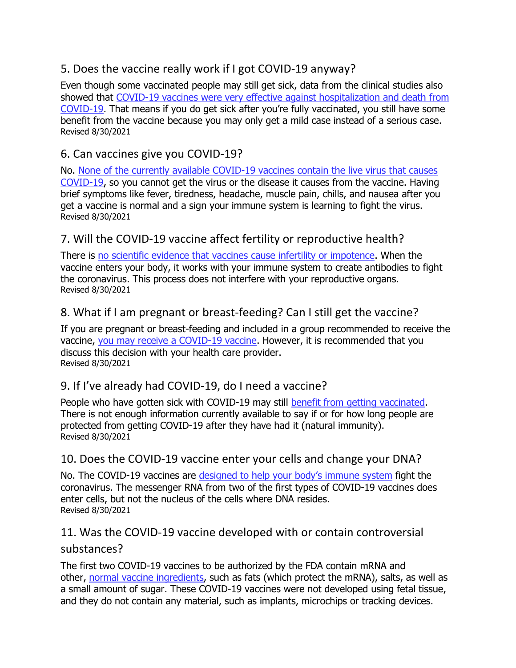# 5. Does the vaccine really work if I got COVID-19 anyway?

Even though some vaccinated people may still get sick, data from the clinical studies also showed that COVID-19 vaccines were very effective against hospitalization and death from [COVID-19.](https://www.doh.wa.gov/Emergencies/COVID19/VaccineInformation/VaccineBreakthrough) That means if you do get sick after you're fully vaccinated, you still have some benefit from the vaccine because you may only get a mild case instead of a serious case. Revised 8/30/2021

## 6. Can vaccines give you COVID-19?

No. [None of the currently available COVID-19 vaccines contain the live virus that causes](https://www.cdc.gov/coronavirus/2019-ncov/vaccines/facts.html)  [COVID-19,](https://www.cdc.gov/coronavirus/2019-ncov/vaccines/facts.html) so you cannot get the virus or the disease it causes from the vaccine. Having brief symptoms like fever, tiredness, headache, muscle pain, chills, and nausea after you get a vaccine is normal and a sign your immune system is learning to fight the virus. Revised 8/30/2021

## 7. Will the COVID-19 vaccine affect fertility or reproductive health?

There is [no scientific evidence that vaccines cause infertility or impotence.](https://www.doh.wa.gov/Emergencies/COVID19/VaccineInformation/VaccineFacts#Reproductive) When the vaccine enters your body, it works with your immune system to create antibodies to fight the coronavirus. This process does not interfere with your reproductive organs. Revised 8/30/2021

## 8. What if I am pregnant or breast-feeding? Can I still get the vaccine?

If you are pregnant or breast-feeding and included in a group recommended to receive the vaccine, [you may receive a COVID-19 vaccine.](https://www.doh.wa.gov/Emergencies/COVID19/VaccineInformation/VaccineFacts#Reproductive) However, it is recommended that you discuss this decision with your health care provider. Revised 8/30/2021

## 9. If I've already had COVID-19, do I need a vaccine?

People who have gotten sick with COVID-19 may still [benefit from getting vaccinated.](https://www.hopkinsmedicine.org/health/conditions-and-diseases/coronavirus/covid-19-vaccines-myth-versus-fact) There is not enough information currently available to say if or for how long people are protected from getting COVID-19 after they have had it (natural immunity). Revised 8/30/2021

#### 10. Does the COVID-19 vaccine enter your cells and change your DNA?

No. The COVID-19 vaccines are [designed to help your body's immune system](https://www.cdc.gov/coronavirus/2019-ncov/vaccines/facts.html) fight the coronavirus. The messenger RNA from two of the first types of COVID-19 vaccines does enter cells, but not the nucleus of the cells where DNA resides. Revised 8/30/2021

# 11. Was the COVID-19 vaccine developed with or contain controversial

#### substances?

The first two COVID-19 vaccines to be authorized by the FDA contain mRNA and other, [normal vaccine ingredients,](https://www.hopkinsmedicine.org/health/conditions-and-diseases/coronavirus/covid-19-vaccines-myth-versus-fact) such as fats (which protect the mRNA), salts, as well as a small amount of sugar. These COVID-19 vaccines were not developed using fetal tissue, and they do not contain any material, such as implants, microchips or tracking devices.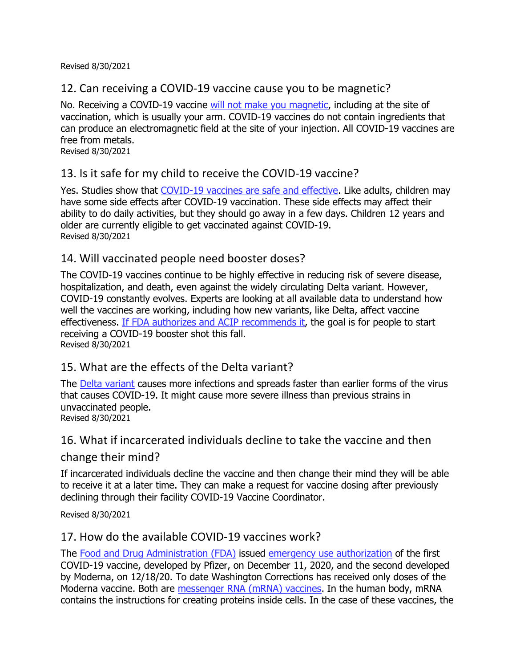Revised 8/30/2021

## 12. Can receiving a COVID-19 vaccine cause you to be magnetic?

No. Receiving a COVID-19 vaccine [will not make you magnetic,](https://www.cdc.gov/coronavirus/2019-ncov/vaccines/facts.html) including at the site of vaccination, which is usually your arm. COVID-19 vaccines do not contain ingredients that can produce an electromagnetic field at the site of your injection. All COVID-19 vaccines are free from metals.

Revised 8/30/2021

## 13. Is it safe for my child to receive the COVID-19 vaccine?

Yes. Studies show that [COVID-19 vaccines are safe and effective.](https://www.cdc.gov/coronavirus/2019-ncov/vaccines/faq.html) Like adults, children may have some side effects after COVID-19 vaccination. These side effects may affect their ability to do daily activities, but they should go away in a few days. Children 12 years and older are currently eligible to get vaccinated against COVID-19. Revised 8/30/2021

#### 14. Will vaccinated people need booster doses?

The COVID-19 vaccines continue to be highly effective in reducing risk of severe disease, hospitalization, and death, even against the widely circulating Delta variant. However, COVID-19 constantly evolves. Experts are looking at all available data to understand how well the vaccines are working, including how new variants, like Delta, affect vaccine effectiveness. [If FDA authorizes and ACIP recommends it,](https://www.cdc.gov/coronavirus/2019-ncov/vaccines/booster-shot.html) the goal is for people to start receiving a COVID-19 booster shot this fall. Revised 8/30/2021

## 15. What are the effects of the Delta variant?

The [Delta variant](https://www.cdc.gov/coronavirus/2019-ncov/variants/delta-variant.html) causes more infections and spreads faster than earlier forms of the virus that causes COVID-19. It might cause more severe illness than previous strains in unvaccinated people. Revised 8/30/2021

#### 16. What if incarcerated individuals decline to take the vaccine and then

#### change their mind?

If incarcerated individuals decline the vaccine and then change their mind they will be able to receive it at a later time. They can make a request for vaccine dosing after previously declining through their facility COVID-19 Vaccine Coordinator.

Revised 8/30/2021

#### 17. How do the available COVID-19 vaccines work?

The [Food and Drug Administration \(FDA\)](https://www.fda.gov/emergency-preparedness-and-response/coronavirus-disease-2019-covid-19/covid-19-vaccines) issued [emergency use authorization](https://www.fda.gov/vaccines-blood-biologics/vaccines/emergency-use-authorization-vaccines-explained) of the first COVID-19 vaccine, developed by Pfizer, on December 11, 2020, and the second developed by Moderna, on 12/18/20. To date Washington Corrections has received only doses of the Moderna vaccine. Both are [messenger RNA \(mRNA\) vaccines.](https://www.cdc.gov/coronavirus/2019-ncov/vaccines/different-vaccines/mrna.html) In the human body, mRNA contains the instructions for creating proteins inside cells. In the case of these vaccines, the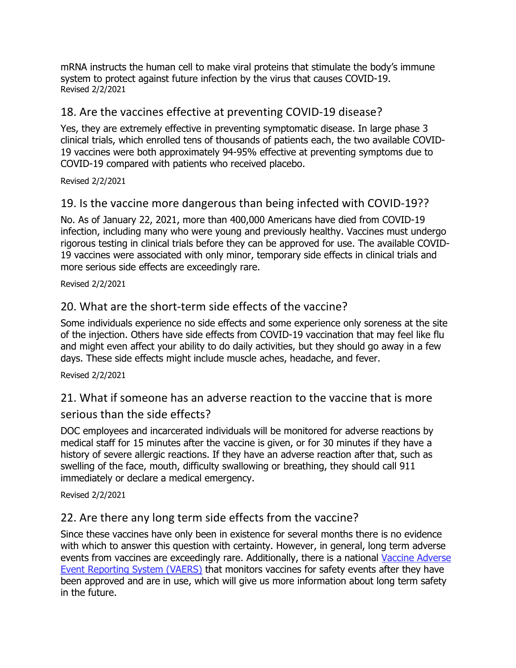mRNA instructs the human cell to make viral proteins that stimulate the body's immune system to protect against future infection by the virus that causes COVID-19. Revised 2/2/2021

#### 18. Are the vaccines effective at preventing COVID-19 disease?

Yes, they are extremely effective in preventing symptomatic disease. In large phase 3 clinical trials, which enrolled tens of thousands of patients each, the two available COVID-19 vaccines were both approximately 94-95% effective at preventing symptoms due to COVID-19 compared with patients who received placebo.

#### Revised 2/2/2021

#### 19. Is the vaccine more dangerous than being infected with COVID-19??

No. As of January 22, 2021, more than 400,000 Americans have died from COVID-19 infection, including many who were young and previously healthy. Vaccines must undergo rigorous testing in clinical trials before they can be approved for use. The available COVID-19 vaccines were associated with only minor, temporary side effects in clinical trials and more serious side effects are exceedingly rare.

#### Revised 2/2/2021

#### 20. What are the short-term side effects of the vaccine?

Some individuals experience no side effects and some experience only soreness at the site of the injection. Others have side effects from COVID-19 vaccination that may feel like flu and might even affect your ability to do daily activities, but they should go away in a few days. These side effects might include muscle aches, headache, and fever.

#### Revised 2/2/2021

# 21. What if someone has an adverse reaction to the vaccine that is more

#### serious than the side effects?

DOC employees and incarcerated individuals will be monitored for adverse reactions by medical staff for 15 minutes after the vaccine is given, or for 30 minutes if they have a history of severe allergic reactions. If they have an adverse reaction after that, such as swelling of the face, mouth, difficulty swallowing or breathing, they should call 911 immediately or declare a medical emergency.

#### Revised 2/2/2021

#### 22. Are there any long term side effects from the vaccine?

Since these vaccines have only been in existence for several months there is no evidence with which to answer this question with certainty. However, in general, long term adverse events from vaccines are exceedingly rare. Additionally, there is a national [Vaccine Adverse](https://vaers.hhs.gov/)  [Event Reporting System \(VAERS\)](https://vaers.hhs.gov/) that monitors vaccines for safety events after they have been approved and are in use, which will give us more information about long term safety in the future.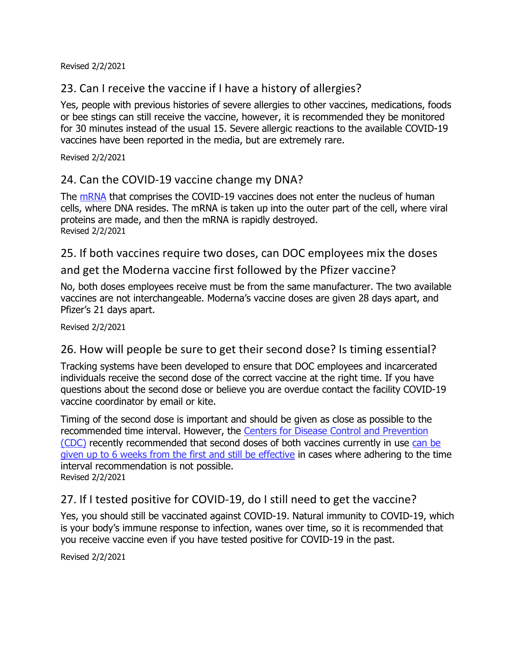Revised 2/2/2021

#### 23. Can I receive the vaccine if I have a history of allergies?

Yes, people with previous histories of severe allergies to other vaccines, medications, foods or bee stings can still receive the vaccine, however, it is recommended they be monitored for 30 minutes instead of the usual 15. Severe allergic reactions to the available COVID-19 vaccines have been reported in the media, but are extremely rare.

Revised 2/2/2021

#### 24. Can the COVID-19 vaccine change my DNA?

The [mRNA](https://www.cdc.gov/coronavirus/2019-ncov/vaccines/different-vaccines/mrna.html) that comprises the COVID-19 vaccines does not enter the nucleus of human cells, where DNA resides. The mRNA is taken up into the outer part of the cell, where viral proteins are made, and then the mRNA is rapidly destroyed. Revised 2/2/2021

25. If both vaccines require two doses, can DOC employees mix the doses

and get the Moderna vaccine first followed by the Pfizer vaccine?

No, both doses employees receive must be from the same manufacturer. The two available vaccines are not interchangeable. Moderna's vaccine doses are given 28 days apart, and Pfizer's 21 days apart.

Revised 2/2/2021

#### 26. How will people be sure to get their second dose? Is timing essential?

Tracking systems have been developed to ensure that DOC employees and incarcerated individuals receive the second dose of the correct vaccine at the right time. If you have questions about the second dose or believe you are overdue contact the facility COVID-19 vaccine coordinator by email or kite.

Timing of the second dose is important and should be given as close as possible to the recommended time interval. However, the [Centers for Disease Control and Prevention](https://www.cdc.gov/)  [\(CDC\)](https://www.cdc.gov/) recently recommended that second doses of both vaccines currently in use [can be](https://www.cdc.gov/vaccines/covid-19/info-by-product/clinical-considerations.html#Administration)  [given up to 6 weeks from the first and still be effective](https://www.cdc.gov/vaccines/covid-19/info-by-product/clinical-considerations.html#Administration) in cases where adhering to the time interval recommendation is not possible. Revised 2/2/2021

#### 27. If I tested positive for COVID-19, do I still need to get the vaccine?

Yes, you should still be vaccinated against COVID-19. Natural immunity to COVID-19, which is your body's immune response to infection, wanes over time, so it is recommended that you receive vaccine even if you have tested positive for COVID-19 in the past.

Revised 2/2/2021